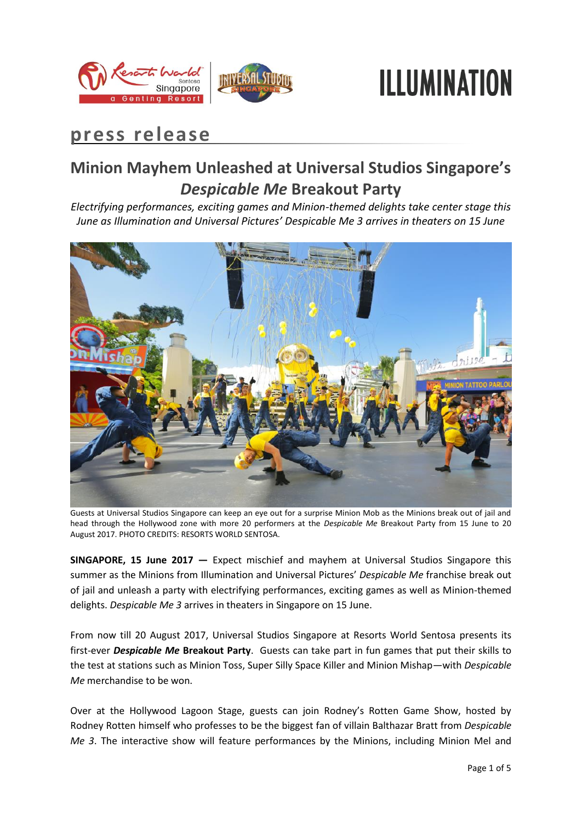



# **press release**

# **Minion Mayhem Unleashed at Universal Studios Singapore's**  *Despicable Me* **Breakout Party**

*Electrifying performances, exciting games and Minion-themed delights take center stage this June as Illumination and Universal Pictures' Despicable Me 3 arrives in theaters on 15 June* 



Guests at Universal Studios Singapore can keep an eye out for a surprise Minion Mob as the Minions break out of jail and head through the Hollywood zone with more 20 performers at the *Despicable Me* Breakout Party from 15 June to 20 August 2017. PHOTO CREDITS: RESORTS WORLD SENTOSA.

**SINGAPORE, 15 June 2017 —** Expect mischief and mayhem at Universal Studios Singapore this summer as the Minions from Illumination and Universal Pictures' *Despicable Me* franchise break out of jail and unleash a party with electrifying performances, exciting games as well as Minion-themed delights. *Despicable Me 3* arrives in theaters in Singapore on 15 June.

From now till 20 August 2017, Universal Studios Singapore at Resorts World Sentosa presents its first-ever *Despicable Me* **Breakout Party**. Guests can take part in fun games that put their skills to the test at stations such as Minion Toss, Super Silly Space Killer and Minion Mishap*—*with *Despicable Me* merchandise to be won.

Over at the Hollywood Lagoon Stage, guests can join Rodney's Rotten Game Show, hosted by Rodney Rotten himself who professes to be the biggest fan of villain Balthazar Bratt from *Despicable Me 3*. The interactive show will feature performances by the Minions, including Minion Mel and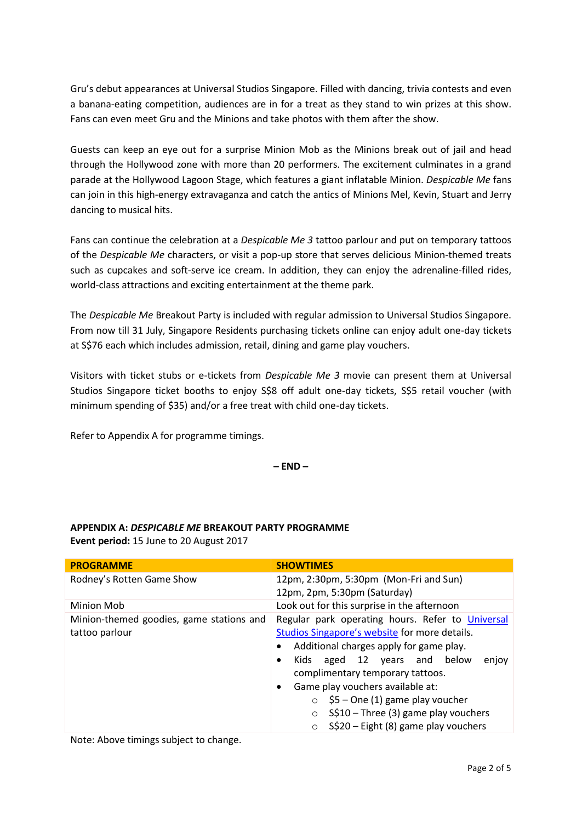Gru's debut appearances at Universal Studios Singapore. Filled with dancing, trivia contests and even a banana-eating competition, audiences are in for a treat as they stand to win prizes at this show. Fans can even meet Gru and the Minions and take photos with them after the show.

Guests can keep an eye out for a surprise Minion Mob as the Minions break out of jail and head through the Hollywood zone with more than 20 performers. The excitement culminates in a grand parade at the Hollywood Lagoon Stage, which features a giant inflatable Minion. *Despicable Me* fans can join in this high-energy extravaganza and catch the antics of Minions Mel, Kevin, Stuart and Jerry dancing to musical hits.

Fans can continue the celebration at a *Despicable Me 3* tattoo parlour and put on temporary tattoos of the *Despicable Me* characters, or visit a pop-up store that serves delicious Minion-themed treats such as cupcakes and soft-serve ice cream. In addition, they can enjoy the adrenaline-filled rides, world-class attractions and exciting entertainment at the theme park.

The *Despicable Me* Breakout Party is included with regular admission to Universal Studios Singapore. From now till 31 July, Singapore Residents purchasing tickets online can enjoy adult one-day tickets at S\$76 each which includes admission, retail, dining and game play vouchers.

Visitors with ticket stubs or e-tickets from *Despicable Me 3* movie can present them at Universal Studios Singapore ticket booths to enjoy S\$8 off adult one-day tickets, S\$5 retail voucher (with minimum spending of \$35) and/or a free treat with child one-day tickets.

Refer to Appendix A for programme timings.

**– END –**

## **APPENDIX A:** *DESPICABLE ME* **BREAKOUT PARTY PROGRAMME**

**Event period:** 15 June to 20 August 2017

| <b>PROGRAMME</b>                                           | <b>SHOWTIMES</b>                                                                                                                                                                                                                                                                                                                                                                                                                                        |
|------------------------------------------------------------|---------------------------------------------------------------------------------------------------------------------------------------------------------------------------------------------------------------------------------------------------------------------------------------------------------------------------------------------------------------------------------------------------------------------------------------------------------|
| Rodney's Rotten Game Show                                  | 12pm, 2:30pm, 5:30pm (Mon-Fri and Sun)                                                                                                                                                                                                                                                                                                                                                                                                                  |
|                                                            | 12pm, 2pm, 5:30pm (Saturday)                                                                                                                                                                                                                                                                                                                                                                                                                            |
| Minion Mob                                                 | Look out for this surprise in the afternoon                                                                                                                                                                                                                                                                                                                                                                                                             |
| Minion-themed goodies, game stations and<br>tattoo parlour | Regular park operating hours. Refer to <i>Universal</i><br>Studios Singapore's website for more details.<br>Additional charges apply for game play.<br>$\bullet$<br>Kids aged 12 years and below<br>enjoy<br>$\bullet$<br>complimentary temporary tattoos.<br>Game play vouchers available at:<br>٠<br>\$5 - One (1) game play voucher<br>$\circ$<br>S\$10 - Three (3) game play vouchers<br>$\circ$<br>S\$20 - Eight (8) game play vouchers<br>$\circ$ |

Note: Above timings subject to change.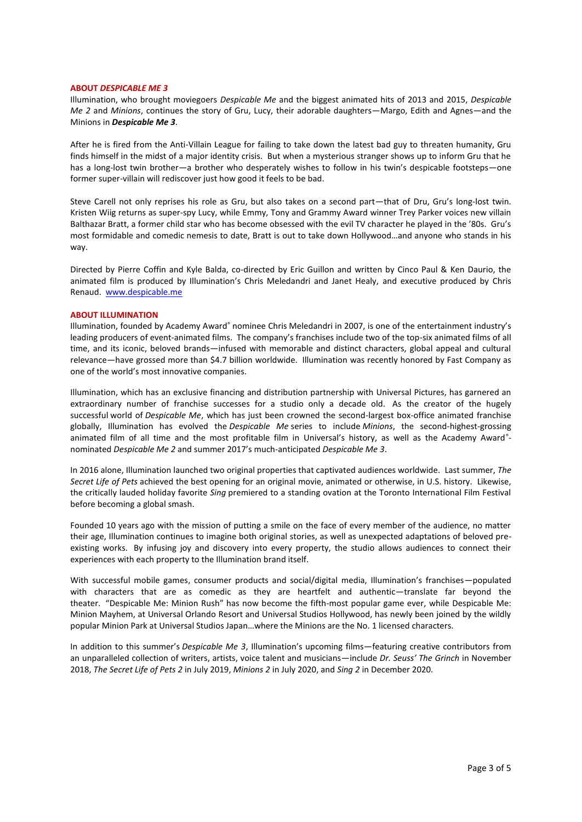#### **ABOUT** *DESPICABLE ME 3*

Illumination, who brought moviegoers *Despicable Me* and the biggest animated hits of 2013 and 2015, *Despicable Me 2* and *Minions*, continues the story of Gru, Lucy, their adorable daughters—Margo, Edith and Agnes—and the Minions in *Despicable Me 3*.

After he is fired from the Anti-Villain League for failing to take down the latest bad guy to threaten humanity, Gru finds himself in the midst of a major identity crisis. But when a mysterious stranger shows up to inform Gru that he has a long-lost twin brother—a brother who desperately wishes to follow in his twin's despicable footsteps—one former super-villain will rediscover just how good it feels to be bad.

Steve Carell not only reprises his role as Gru, but also takes on a second part—that of Dru, Gru's long-lost twin. Kristen Wiig returns as super-spy Lucy, while Emmy, Tony and Grammy Award winner Trey Parker voices new villain Balthazar Bratt, a former child star who has become obsessed with the evil TV character he played in the '80s. Gru's most formidable and comedic nemesis to date, Bratt is out to take down Hollywood…and anyone who stands in his way.

Directed by Pierre Coffin and Kyle Balda, co-directed by Eric Guillon and written by Cinco Paul & Ken Daurio, the animated film is produced by Illumination's Chris Meledandri and Janet Healy, and executive produced by Chris Renaud. [www.despicable.me](http://www.despicable.me/) 

#### **ABOUT ILLUMINATION**

Illumination, founded by Academy Award® nominee Chris Meledandri in 2007, is one of the entertainment industry's leading producers of event-animated films. The company's franchises include two of the top-six animated films of all time, and its iconic, beloved brands—infused with memorable and distinct characters, global appeal and cultural relevance—have grossed more than \$4.7 billion worldwide. Illumination was recently honored by Fast Company as one of the world's most innovative companies.

Illumination, which has an exclusive financing and distribution partnership with Universal Pictures, has garnered an extraordinary number of franchise successes for a studio only a decade old. As the creator of the hugely successful world of *Despicable Me*, which has just been crowned the second-largest box-office animated franchise globally, Illumination has evolved the *Despicable Me* series to include *Minions*, the second-highest-grossing animated film of all time and the most profitable film in Universal's history, as well as the Academy Award®nominated *Despicable Me 2* and summer 2017's much-anticipated *Despicable Me 3*.

In 2016 alone, Illumination launched two original properties that captivated audiences worldwide. Last summer, *The Secret Life of Pets* achieved the best opening for an original movie, animated or otherwise, in U.S. history. Likewise, the critically lauded holiday favorite *Sing* premiered to a standing ovation at the Toronto International Film Festival before becoming a global smash.

Founded 10 years ago with the mission of putting a smile on the face of every member of the audience, no matter their age, Illumination continues to imagine both original stories, as well as unexpected adaptations of beloved preexisting works. By infusing joy and discovery into every property, the studio allows audiences to connect their experiences with each property to the Illumination brand itself.

With successful mobile games, consumer products and social/digital media, Illumination's franchises—populated with characters that are as comedic as they are heartfelt and authentic—translate far beyond the theater. "Despicable Me: Minion Rush" has now become the fifth-most popular game ever, while Despicable Me: Minion Mayhem, at Universal Orlando Resort and Universal Studios Hollywood, has newly been joined by the wildly popular Minion Park at Universal Studios Japan…where the Minions are the No. 1 licensed characters.

In addition to this summer's *Despicable Me 3*, Illumination's upcoming films—featuring creative contributors from an unparalleled collection of writers, artists, voice talent and musicians—include *Dr. Seuss' The Grinch* in November 2018, *The Secret Life of Pets 2* in July 2019, *Minions 2* in July 2020, and *Sing 2* in December 2020.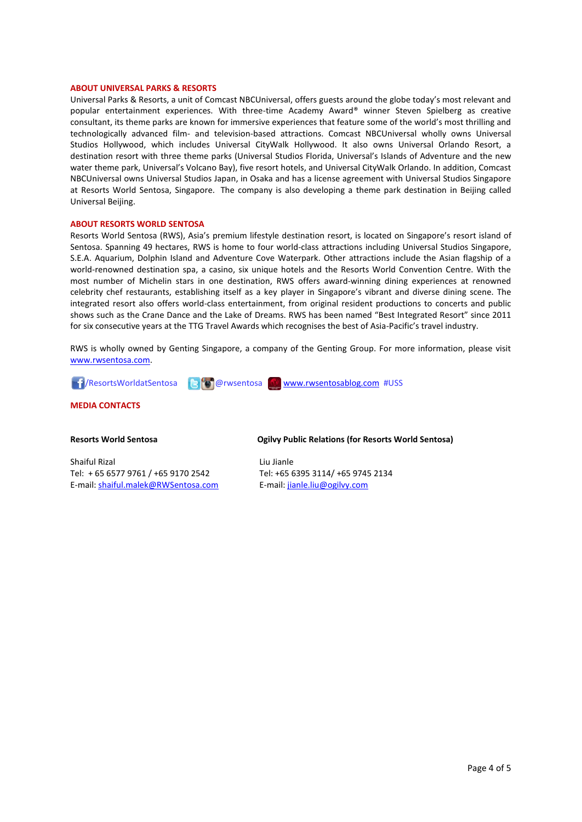#### **ABOUT UNIVERSAL PARKS & RESORTS**

Universal Parks & Resorts, a unit of Comcast NBCUniversal, offers guests around the globe today's most relevant and popular entertainment experiences. With three-time Academy Award® winner Steven Spielberg as creative consultant, its theme parks are known for immersive experiences that feature some of the world's most thrilling and technologically advanced film- and television-based attractions. Comcast NBCUniversal wholly owns Universal Studios Hollywood, which includes Universal CityWalk Hollywood. It also owns Universal Orlando Resort, a destination resort with three theme parks (Universal Studios Florida, Universal's Islands of Adventure and the new water theme park, Universal's Volcano Bay), five resort hotels, and Universal CityWalk Orlando. In addition, Comcast NBCUniversal owns Universal Studios Japan, in Osaka and has a license agreement with Universal Studios Singapore at Resorts World Sentosa, Singapore. The company is also developing a theme park destination in Beijing called Universal Beijing.

#### **ABOUT RESORTS WORLD SENTOSA**

Resorts World Sentosa (RWS), Asia's premium lifestyle destination resort, is located on Singapore's resort island of Sentosa. Spanning 49 hectares, RWS is home to four world-class attractions including Universal Studios Singapore, S.E.A. Aquarium, Dolphin Island and Adventure Cove Waterpark. Other attractions include the Asian flagship of a world-renowned destination spa, a casino, six unique hotels and the Resorts World Convention Centre. With the most number of Michelin stars in one destination, RWS offers award-winning dining experiences at renowned celebrity chef restaurants, establishing itself as a key player in Singapore's vibrant and diverse dining scene. The integrated resort also offers world-class entertainment, from original resident productions to concerts and public shows such as the Crane Dance and the Lake of Dreams. RWS has been named "Best Integrated Resort" since 2011 for six consecutive years at the TTG Travel Awards which recognises the best of Asia-Pacific's travel industry.

RWS is wholly owned by Genting Singapore, a company of the Genting Group. For more information, please visit [www.rwsentosa.com.](http://www.rwsentosa.com/)



#### **MEDIA CONTACTS**

#### **Resorts World Sentosa**

Shaiful Rizal Tel: + 65 6577 9761 / +65 9170 2542 E-mail[: shaiful.malek@RWSentosa.com](mailto:loolin.chua@RWSentosa.com) **Ogilvy Public Relations (for Resorts World Sentosa)**

Liu Jianle Tel: +65 6395 3114/ +65 9745 2134 E-mail[: jianle.liu@ogilvy.com](mailto:jianle.liu@ogilvy.com)